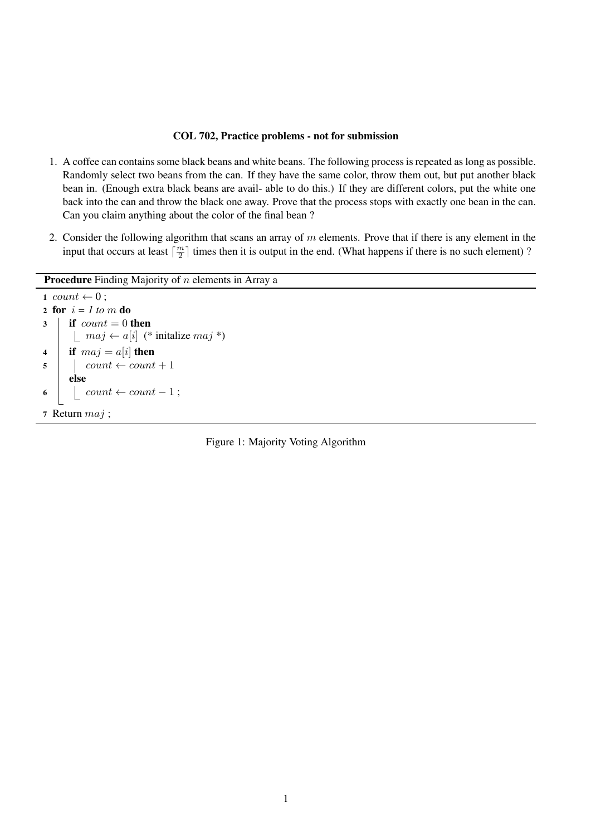## COL 702, Practice problems - not for submission

- 1. A coffee can contains some black beans and white beans. The following process is repeated as long as possible. Randomly select two beans from the can. If they have the same color, throw them out, but put another black bean in. (Enough extra black beans are avail- able to do this.) If they are different colors, put the white one back into the can and throw the black one away. Prove that the process stops with exactly one bean in the can. Can you claim anything about the color of the final bean ?
- 2. Consider the following algorithm that scans an array of *m* elements. Prove that if there is any element in the input that occurs at least  $\lceil \frac{m}{2} \rceil$  times then it is output in the end. (What happens if there is no such element) ?

Procedure Finding Majority of *n* elements in Array a

```
1 count \leftarrow 0;
2 for i = 1 to m do
3 \mid if count = 0 then
        \left| \right. maj \leftarrow a[i] (* initalize maj *)
4 if maj = a[i] then
\mathsf{s} | count \leftarrow count + 1
       else
6 \vert \vert count \leftarrow count -1;
7 Return maj ;
```
Figure 1: Majority Voting Algorithm